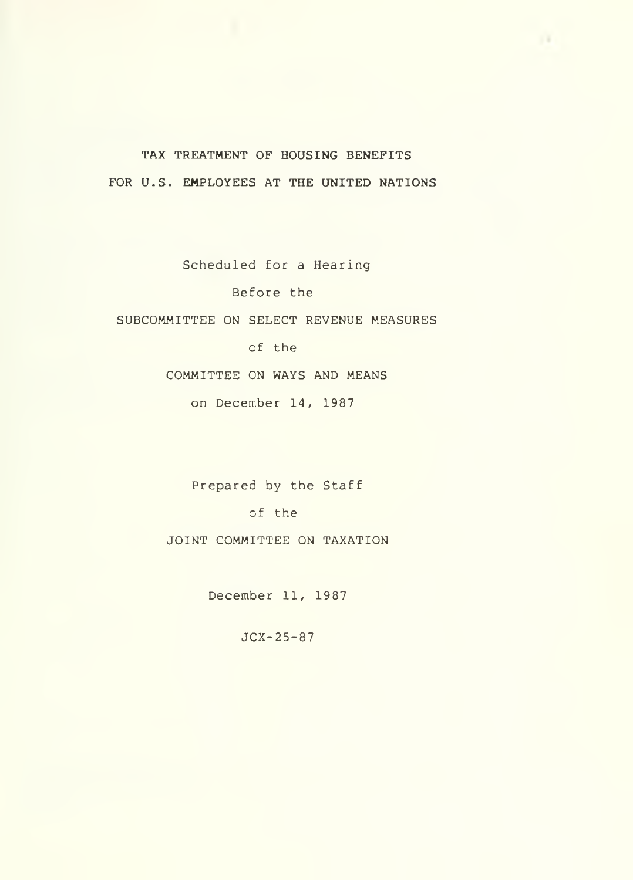TAX TREATMENT OF HOUSING BENEFITS FOR U.S. EMPLOYEES AT THE UNITED NATIONS

Scheduled for a Hearing Before the SUBCOMMITTEE ON SELECT REVENUE MEASURES of the COMMITTEE ON WAYS AND MEANS on December 14, 1987

> Prepared by the Staff of the JOINT COMMITTEE ON TAXATION

> > December 11, 1987

JCX-25-87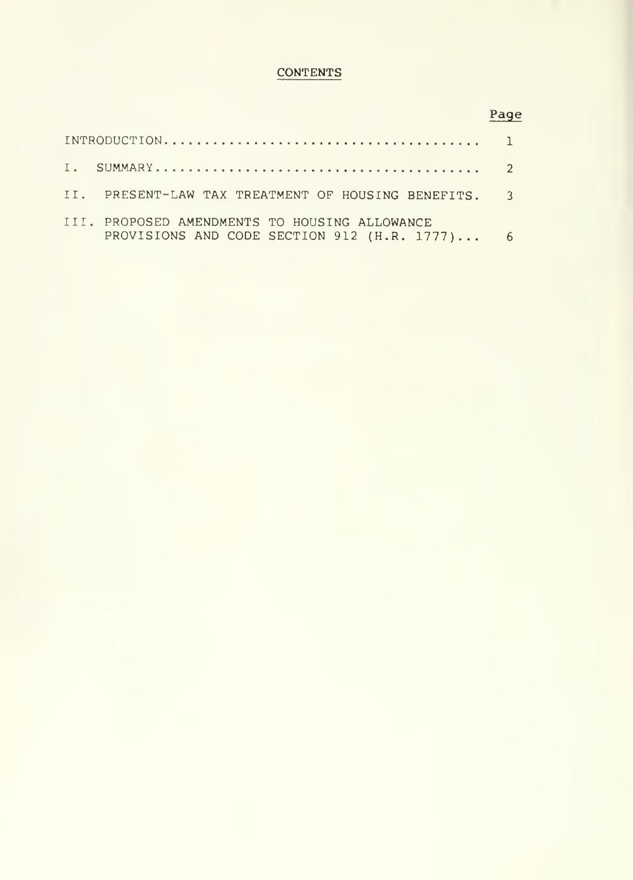## **CONTENTS**

# Page

| II. PRESENT-LAW TAX TREATMENT OF HOUSING BENEFITS. 3                                           |  |
|------------------------------------------------------------------------------------------------|--|
| III. PROPOSED AMENDMENTS TO HOUSING ALLOWANCE<br>PROVISIONS AND CODE SECTION 912 (H.R. 1777) 6 |  |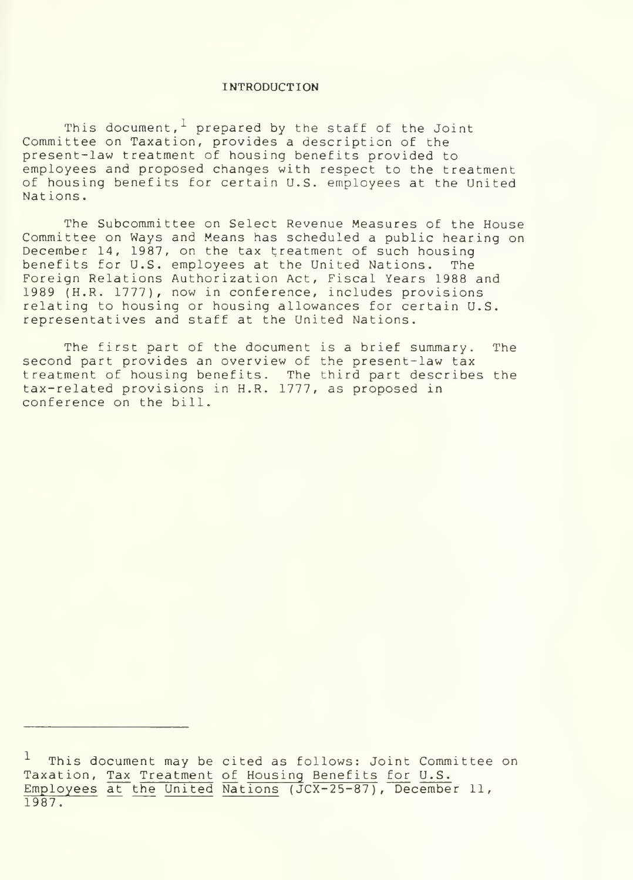#### INTRODUCTION

This document,  $1$  prepared by the staff of the Joint Committee on Taxation, provides a description of the present-law treatment of housing benefits provided to employees and proposed changes with respect to the treatment of housing benefits for certain U.S. employees at the United Nations

The Subcommittee on Select Revenue Measures of the House Committee on Ways and Means has scheduled a public hearing on December 14, 1987, on the tax treatment of such housing benefits for U.S. employees at the United Nations. The Foreign Relations Authorization Act, Fiscal Years 1988 and 1989 (H.R. 1777), now in conference, includes provisions relating to housing or housing allowances for certain U.S. representatives and staff at the United Nations.

The first part of the document is a brief summary. The second part provides an overview of the present-law tax treatment of housing benefits. The third part describes the tax-related provisions in H.R. 1777, as proposed in conference on the bill.

This document may be cited as follows: Joint Committee on Taxation, Tax Treatment of Housing Benefits for U.S. Employees at the United Nations (JCX-25-87), December 11, 1987.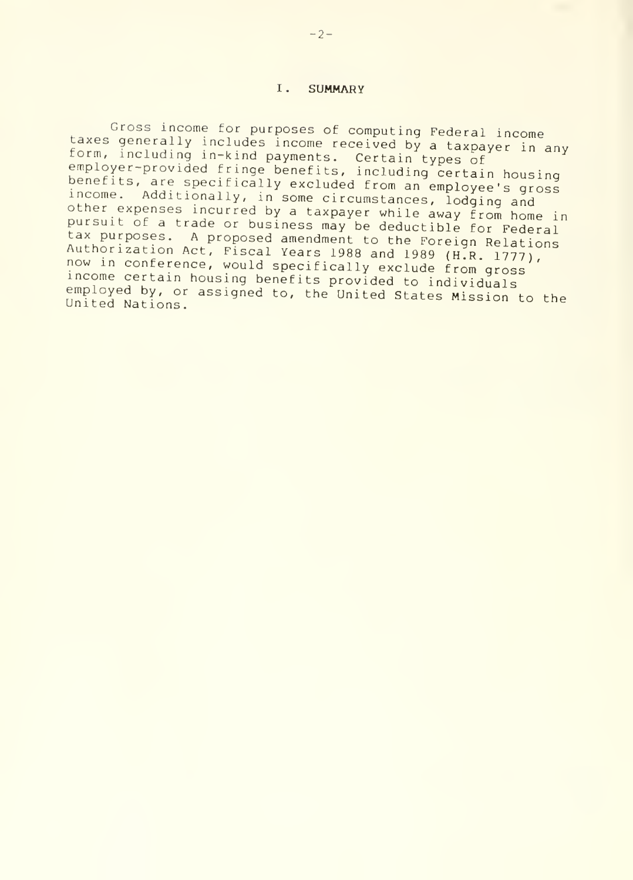#### I. **SUMMARY**

Gross income for purposes of computing Federal income<br>taxes generally includes income received by a taxpayer in any<br>form, including in-kind payments. Certain types of ) certa benefits, are specifically excluded from an employee's gross income. Additionally, in some circumstances, lodging and<br>other expenses incurred by a taxpayer while away from home in pursuit of a trade or business may be deductible for Federal tax purposes. A proposed amendment to the Foreign Relations Authorization Act, Fiscal Years 1988 and 1989 (H.R. 1777), now in conference, would specifically exclude from gross<br>income certain housing benefits provided to individuals employed by, or assigned to, the United States Mission to the United Nations.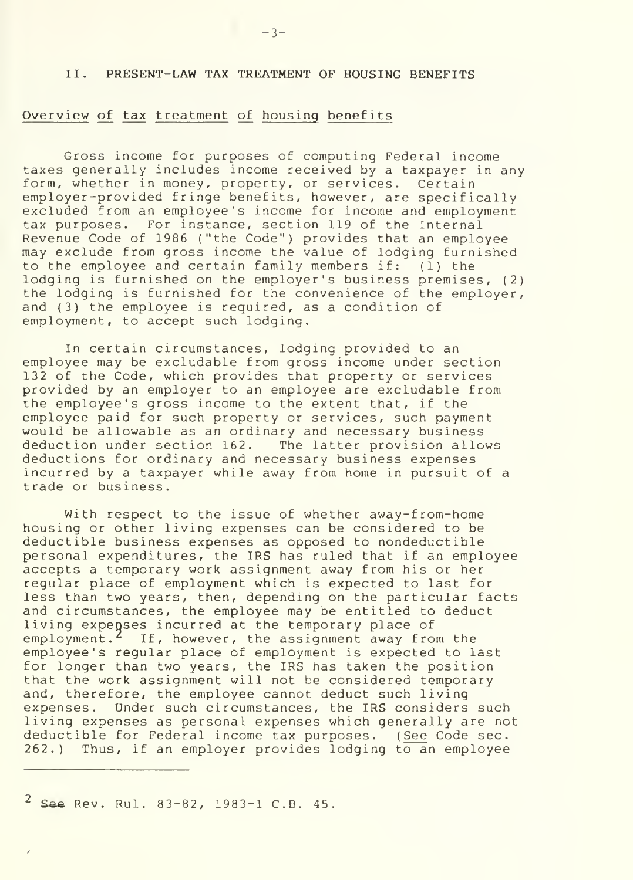#### II. PRESENT-LAW TAX TREATMENT OF HOUSING BENEFITS

#### Overview of tax treatment of housing benefits

Gross income for purposes of computing Federal income taxes generally includes income received by a taxpayer in any form, whether in money, property, or services. Certain employer-provided fringe benefits, however, are specifically excluded from an employee's income for income and employment tax purposes. For instance, section 119 of the Internal Revenue Code of 1986 ("the Code") provides that an employee may exclude from gross income the value of lodging furnished to the employee and certain family members if: (1) the lodging is furnished on the employer's business premises, (2) the lodging is furnished for the convenience of the employer, and (3) the employee is required, as a condition of employment, to accept such lodging.

In certain circumstances, lodging provided to an employee may be excludable from gross income under section 132 of the Code, which provides that property or services provided by an employer to an employee are excludable from the employee's gross income to the extent that, if the employee paid for such property or services, such payment would be allowable as an ordinary and necessary business deduction under section 162. The latter provision allows deductions for ordinary and necessary business expenses incurred by a taxpayer while away from home in pursuit of a trade or business.

With respect to the issue of whether away-from-home housing or other living expenses can be considered to be deductible business expenses as opposed to nondeductible personal expenditures, the IRS has ruled that if an employee accepts a temporary work assignment away from his or her regular place of employment which is expected to last for less than two years, then, depending on the particular facts and circumstances, the employee may be entitled to deduct living expenses incurred at the temporary place of employment.<sup>2</sup> If, however, the assignment away from the employee's regular place of employment is expected to last for longer than two years, the IRS has taken the position that the work assignment will not be considered temporary and, therefore, the employee cannot deduct such living expenses. Under such circumstances, the IRS considers such living expenses as personal expenses which generally are not deductible for Federal income tax purposes. ( See Code sec. 262.) Thus, if an employer provides lodging to an employee

<sup>2</sup> See Rev. Rul. 83-82, 1983-1 C.B. 45.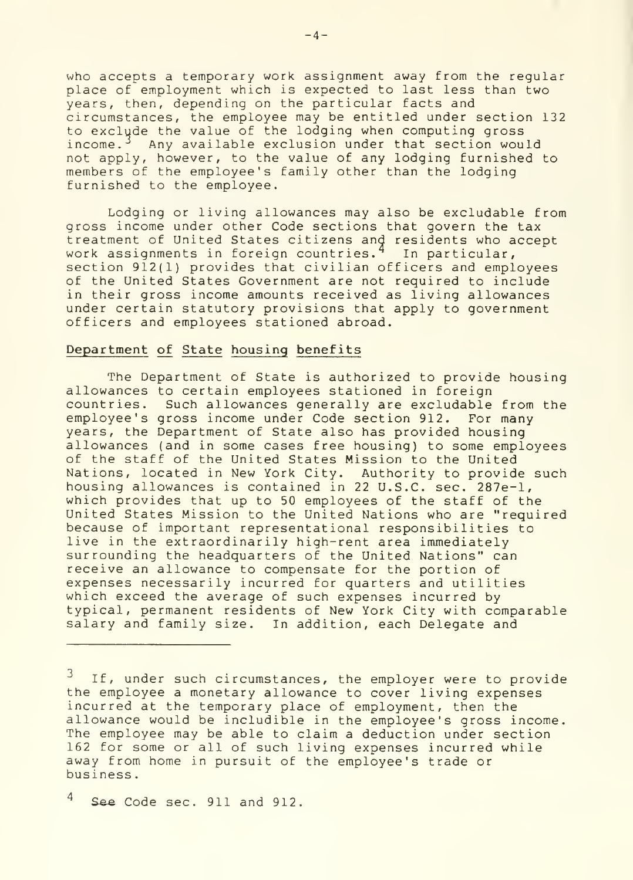who accepts a temporary work assignment away from the regular place of employment which is expected to last less than two years, then, depending on the particular facts and circumstances, the employee may be entitled under section 132 to exclude the value of the lodging when computing gross income.<sup>3</sup> Any available exclusion under that section would not apply, however, to the value of any lodging furnished to members of the employee's family other than the lodging furnished to the employee.

Lodging or living allowances may also be excludable from gross income under other Code sections that govern the tax treatment of United States citizens and residents who accept work assignments in foreign countries.<sup>4</sup> In particular, Th section 912(1) provides that civilian officers and employees of the United States Government are not required to include in their gross income amounts received as living allowances under certain statutory provisions that apply to government officers and employees stationed abroad.

#### Department of State housing benefits

The Department of State is authorized to provide housing allowances to certain employees stationed in foreign countries. Such allowances generally are excludable from the employee's gross income under Code section 912. For many years, the Department of State also has provided housing allowances (and in some cases free housing) to some employees of the staff of the United States Mission to the United Nations, located in New York City. Authority to provide such housing allowances is contained in 22 U.S.C. sec. 287e-l, which provides that up to 50 employees of the staff of the United States Mission to the United Nations who are "required because of important representational responsibilities to live in the extraordinarily high-rent area immediately surrounding the headquarters of the United Nations" can receive an allowance to compensate for the portion of expenses necessarily incurred for quarters and utilities which exceed the average of such expenses incurred by typical, permanent residents of New York City with comparable salary and family size. In addition, each Delegate and

If, under such circumstances, the employer were to provide the employee a monetary allowance to cover living expenses incurred at the temporary place of employment, then the allowance would be includible in the employee's gross income. The employee may be able to claim a deduction under section 162 for some or all of such living expenses incurred while away from home in pursuit of the employee's trade or business

 $^4$  See Code sec. 911 and 912.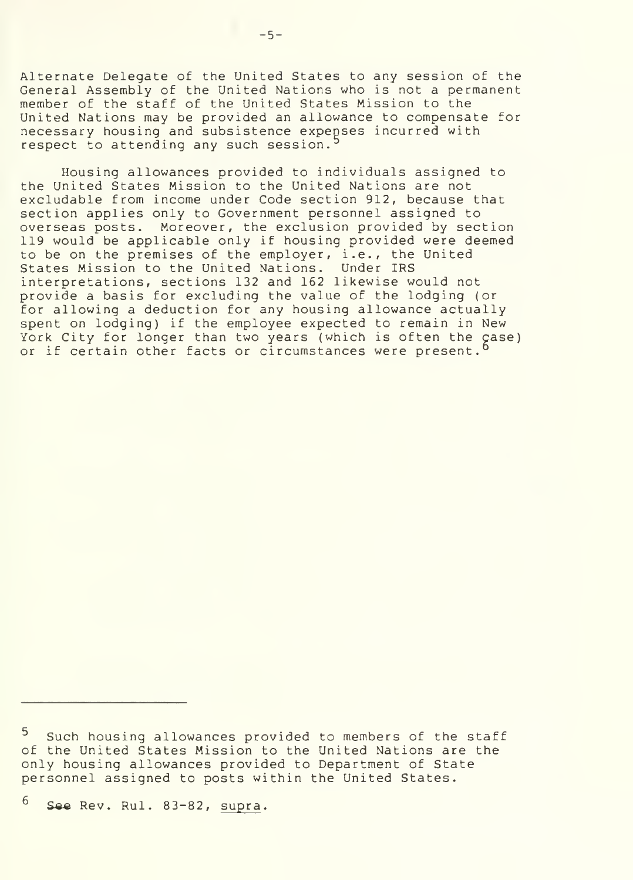Alternate Delegate of the United States to any session of the General Assembly of the United Nations who is not a permanent member of the staff of the United States Mission to the United Nations may be provided an allowance to compensate for necessary housing and subsistence expenses incurred with respect to attending any such session.<sup>5</sup>

Housing allowances provided to individuals assigned to the United States Mission to the United Nations are not excludable from income under Code section 912, because that section applies only to Government personnel assigned to overseas posts. Moreover, the exclusion provided by section 119 would be applicable only if housing provided were deemed to be on the premises of the employer, i.e., the United States Mission to the United Nations. Under IRS interpretations, sections 132 and 162 likewise would not provide a basis for excluding the value of the lodging (or for allowing a deduction for any housing allowance actually spent on lodging) if the employee expected to remain in New York City for longer than two years (which is often the çase) or if certain other facts or circumstances were present.

 $^6$  See Rev. Rul. 83-82, supra.

<sup>5</sup> Such housing allowances provided to members of the staff of the United States Mission to the United Nations are the only housing allowances provided to Department of State personnel assigned to posts within the United States.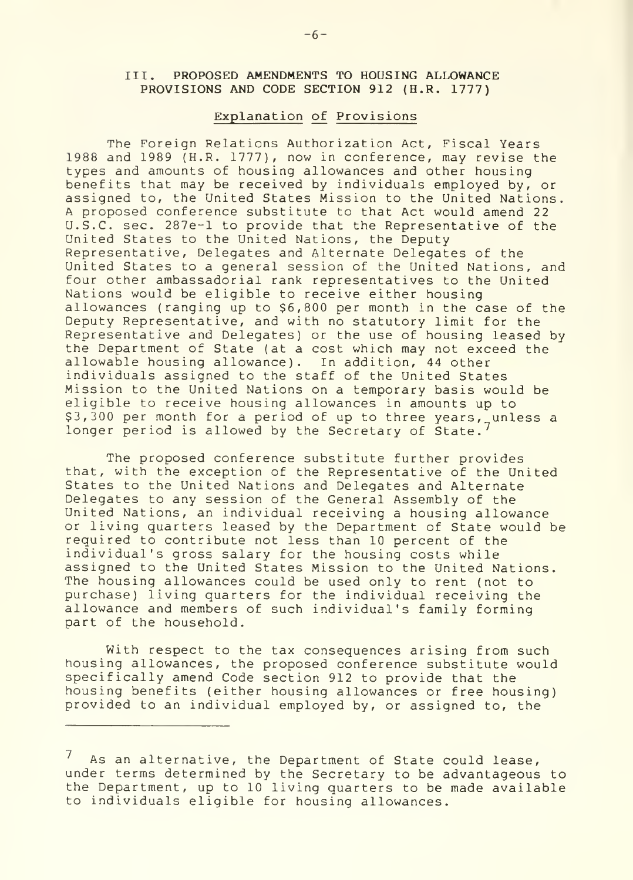### III. PROPOSED AMENDMENTS TO HOUSING ALLOWANCE PROVISIONS AND CODE SECTION 912 (H.R. 1777)

#### Explanation of Provisions

The Foreign Relations Authorization Act, Fiscal Years 1988 and 1989 (H.R. 1777), now in conference, may revise the types and amounts of housing allowances and other housing benefits that may be received by individuals employed by, or assigned to, the United States Mission to the United Nations. A proposed conference substitute to that Act would amend 22 U.S.C. sec. 287e-l to provide that the Representative of the United States to the United Nations, the Deputy Representative, Delegates and Alternate Delegates of the United States to a general session of the United Nations, and four other ambassadorial rank representatives to the United Nations would be eligible to receive either housing allowances (ranging up to \$6,800 per month in the case of the Deputy Representative, and with no statutory limit for the Representative and Delegates) or the use of housing leased by the Department of State (at a cost which may not exceed the allowable housing allowance). In addition, 44 other individuals assigned to the staff of the United States Mission to the United Nations on a temporary basis would be eligible to receive housing allowances in amounts up to \$3,300 per month for a period of up to three years, unless a longer period is allowed by the Secretary of State.<sup>7</sup>

The proposed conference substitute further provides that, with the exception of the Representative of the United States to the United Nations and Delegates and Alternate Delegates to any session of the General Assembly of the United Nations, an individual receiving a housing allowance or living quarters leased by the Department of State would be required to contribute not less than 10 percent of the individual's gross salary for the housing costs while assigned to the United States Mission to the United Nations. The housing allowances could be used only to rent (not to purchase) living quarters for the individual receiving the allowance and members of such individual's family forming part of the household.

With respect to the tax consequences arising from such housing allowances, the proposed conference substitute would specifically amend Code section 912 to provide that the housing benefits (either housing allowances or free housing) provided to an individual employed by, or assigned to, the

As an alternative, the Department of State could lease, under terms determined by the Secretary to be advantageous to the Department, up to 10 living quarters to be made available to individuals eligible for housing allowances.